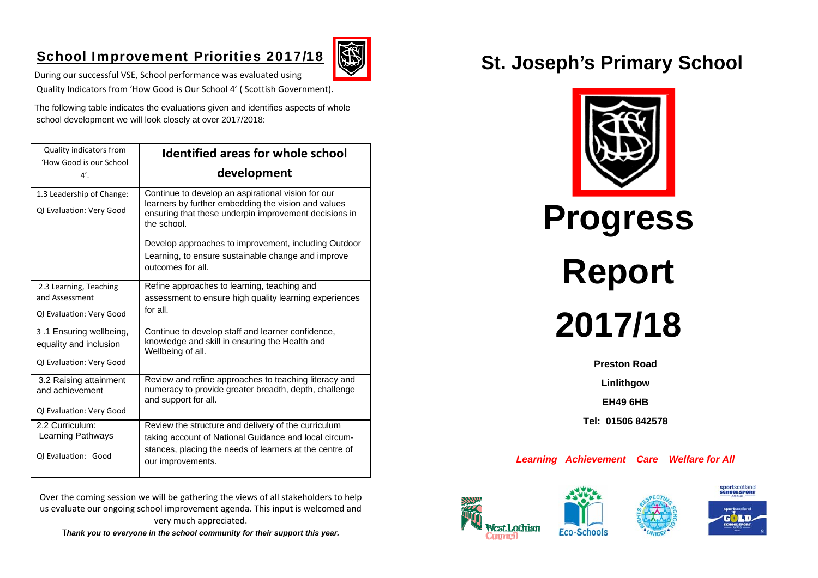## School Improvement Priorities 2017/18



During our successful VSE, School performance was evaluated using Quality Indicators from 'How Good is Our School 4' ( Scottish Government).

The following table indicates the evaluations given and identifies aspects of whole school development we will look closely at over 2017/2018:

| <b>Quality indicators from</b>                        | <b>Identified areas for whole school</b>                                                                                                                                          |
|-------------------------------------------------------|-----------------------------------------------------------------------------------------------------------------------------------------------------------------------------------|
| 'How Good is our School                               |                                                                                                                                                                                   |
| $4^{\prime}$ .                                        | development                                                                                                                                                                       |
| 1.3 Leadership of Change:<br>QI Evaluation: Very Good | Continue to develop an aspirational vision for our<br>learners by further embedding the vision and values<br>ensuring that these underpin improvement decisions in<br>the school. |
|                                                       | Develop approaches to improvement, including Outdoor<br>Learning, to ensure sustainable change and improve<br>outcomes for all.                                                   |
| 2.3 Learning, Teaching<br>and Assessment              | Refine approaches to learning, teaching and<br>assessment to ensure high quality learning experiences                                                                             |
| QI Evaluation: Very Good                              | for all.                                                                                                                                                                          |
| 3.1 Ensuring wellbeing,<br>equality and inclusion     | Continue to develop staff and learner confidence,<br>knowledge and skill in ensuring the Health and<br>Wellbeing of all.                                                          |
| QI Evaluation: Very Good                              |                                                                                                                                                                                   |
| 3.2 Raising attainment<br>and achievement             | Review and refine approaches to teaching literacy and<br>numeracy to provide greater breadth, depth, challenge<br>and support for all.                                            |
| QI Evaluation: Very Good                              |                                                                                                                                                                                   |
| 2.2 Curriculum:<br>Learning Pathways                  | Review the structure and delivery of the curriculum<br>taking account of National Guidance and local circum-                                                                      |
| <b>QI Evaluation: Good</b>                            | stances, placing the needs of learners at the centre of<br>our improvements.                                                                                                      |

Over the coming session we will be gathering the views of all stakeholders to help us evaluate our ongoing school improvement agenda. This input is welcomed and very much appreciated.

T*hank you to everyone in the school community for their support this year.* 

# **St. Joseph's Primary School**





**Preston Road** 

**Linlithgow** 

**EH49 6HB** 

**Tel: 01506 842578** 

*Learning Achievement Care Welfare for All*